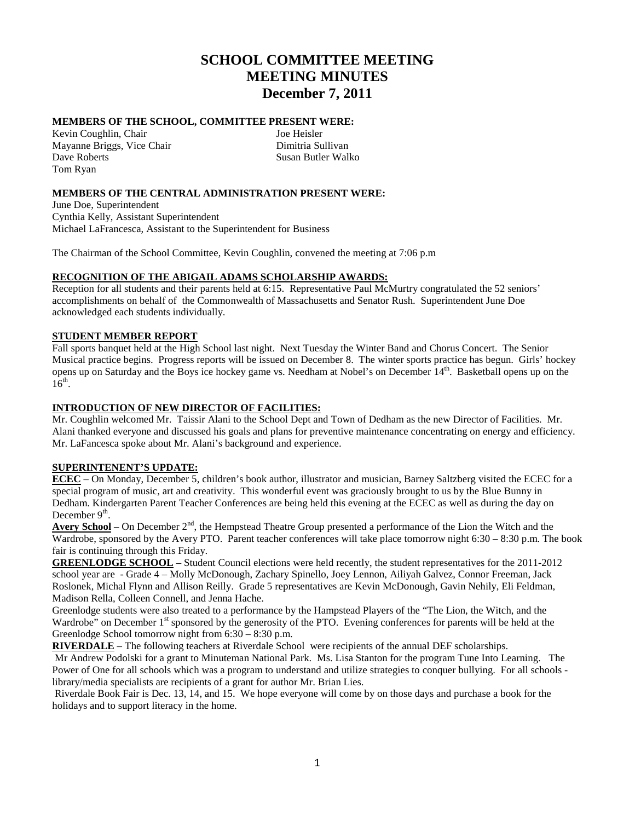# **SCHOOL COMMITTEE MEETING MEETING MINUTES December 7, 2011**

# **MEMBERS OF THE SCHOOL, COMMITTEE PRESENT WERE:**

Kevin Coughlin, Chair Joe Heisler Mayanne Briggs, Vice Chair Dimitria Sullivan Dave Roberts Susan Butler Walko Tom Ryan

## **MEMBERS OF THE CENTRAL ADMINISTRATION PRESENT WERE:**

June Doe, Superintendent Cynthia Kelly, Assistant Superintendent Michael LaFrancesca, Assistant to the Superintendent for Business

The Chairman of the School Committee, Kevin Coughlin, convened the meeting at 7:06 p.m

## **RECOGNITION OF THE ABIGAIL ADAMS SCHOLARSHIP AWARDS:**

Reception for all students and their parents held at 6:15. Representative Paul McMurtry congratulated the 52 seniors' accomplishments on behalf of the Commonwealth of Massachusetts and Senator Rush. Superintendent June Doe acknowledged each students individually.

#### **STUDENT MEMBER REPORT**

Fall sports banquet held at the High School last night. Next Tuesday the Winter Band and Chorus Concert. The Senior Musical practice begins. Progress reports will be issued on December 8. The winter sports practice has begun. Girls' hockey opens up on Saturday and the Boys ice hockey game vs. Needham at Nobel's on December 14<sup>th</sup>. Basketball opens up on the  $16^{th}$ .

#### **INTRODUCTION OF NEW DIRECTOR OF FACILITIES:**

Mr. Coughlin welcomed Mr. Taissir Alani to the School Dept and Town of Dedham as the new Director of Facilities. Mr. Alani thanked everyone and discussed his goals and plans for preventive maintenance concentrating on energy and efficiency. Mr. LaFancesca spoke about Mr. Alani's background and experience.

#### **SUPERINTENENT'S UPDATE:**

**ECEC** – On Monday, December 5, children's book author, illustrator and musician, Barney Saltzberg visited the ECEC for a special program of music, art and creativity. This wonderful event was graciously brought to us by the Blue Bunny in Dedham. Kindergarten Parent Teacher Conferences are being held this evening at the ECEC as well as during the day on December  $9<sup>th</sup>$ .

Avery School – On December 2<sup>nd</sup>, the Hempstead Theatre Group presented a performance of the Lion the Witch and the Wardrobe, sponsored by the Avery PTO. Parent teacher conferences will take place tomorrow night 6:30 – 8:30 p.m. The book fair is continuing through this Friday.

**GREENLODGE SCHOOL** – Student Council elections were held recently, the student representatives for the 2011-2012 school year are - Grade 4 – Molly McDonough, Zachary Spinello, Joey Lennon, Ailiyah Galvez, Connor Freeman, Jack Roslonek, Michal Flynn and Allison Reilly. Grade 5 representatives are Kevin McDonough, Gavin Nehily, Eli Feldman, Madison Rella, Colleen Connell, and Jenna Hache.

Greenlodge students were also treated to a performance by the Hampstead Players of the "The Lion, the Witch, and the Wardrobe" on December 1<sup>st</sup> sponsored by the generosity of the PTO. Evening conferences for parents will be held at the Greenlodge School tomorrow night from 6:30 – 8:30 p.m.

**RIVERDALE** – The following teachers at Riverdale School were recipients of the annual DEF scholarships.

Mr Andrew Podolski for a grant to Minuteman National Park. Ms. Lisa Stanton for the program Tune Into Learning. The Power of One for all schools which was a program to understand and utilize strategies to conquer bullying. For all schools library/media specialists are recipients of a grant for author Mr. Brian Lies.

Riverdale Book Fair is Dec. 13, 14, and 15. We hope everyone will come by on those days and purchase a book for the holidays and to support literacy in the home.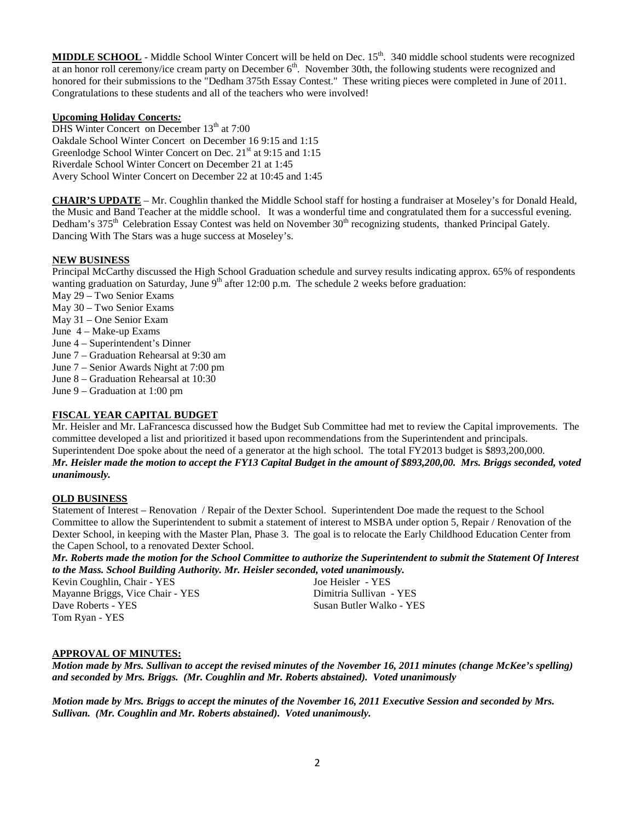**MIDDLE SCHOOL** - Middle School Winter Concert will be held on Dec. 15<sup>th</sup>. 340 middle school students were recognized at an honor roll ceremony/ice cream party on December  $6<sup>th</sup>$ . November 30th, the following students were recognized and honored for their submissions to the "Dedham 375th Essay Contest." These writing pieces were completed in June of 2011. Congratulations to these students and all of the teachers who were involved!

#### **Upcoming Holiday Concerts***:*

DHS Winter Concert on December  $13<sup>th</sup>$  at  $7:00$ Oakdale School Winter Concert on December 16 9:15 and 1:15 Greenlodge School Winter Concert on Dec. 21<sup>st</sup> at 9:15 and 1:15 Riverdale School Winter Concert on December 21 at 1:45 Avery School Winter Concert on December 22 at 10:45 and 1:45

**CHAIR'S UPDATE** – Mr. Coughlin thanked the Middle School staff for hosting a fundraiser at Moseley's for Donald Heald, Dedham's 375<sup>th</sup> Celebration Essay Contest was held on November 30<sup>th</sup> recognizing students, thanked Principal Gately. the Music and Band Teacher at the middle school. It was a wonderful time and congratulated them for a successful evening. Dancing With The Stars was a huge success at Moseley's.

#### **NEW BUSINESS**

Principal McCarthy discussed the High School Graduation schedule and survey results indicating approx. 65% of respondents wanting graduation on Saturday, June  $9<sup>th</sup>$  after 12:00 p.m. The schedule 2 weeks before graduation:

- May 29 Two Senior Exams
- May 30 Two Senior Exams
- May 31 One Senior Exam
- June 4 Make-up Exams
- June 4 Superintendent's Dinner
- June 7 Graduation Rehearsal at 9:30 am
- June 7 Senior Awards Night at 7:00 pm
- June 8 Graduation Rehearsal at 10:30
- June 9 Graduation at 1:00 pm

# **FISCAL YEAR CAPITAL BUDGET**

Mr. Heisler and Mr. LaFrancesca discussed how the Budget Sub Committee had met to review the Capital improvements. The committee developed a list and prioritized it based upon recommendations from the Superintendent and principals. Superintendent Doe spoke about the need of a generator at the high school. The total FY2013 budget is \$893,200,000. *Mr. Heisler made the motion to accept the FY13 Capital Budget in the amount of \$893,200,00. Mrs. Briggs seconded, voted unanimously.*

# **OLD BUSINESS**

Statement of Interest – Renovation / Repair of the Dexter School. Superintendent Doe made the request to the School Committee to allow the Superintendent to submit a statement of interest to MSBA under option 5, Repair / Renovation of the Dexter School, in keeping with the Master Plan, Phase 3. The goal is to relocate the Early Childhood Education Center from the Capen School, to a renovated Dexter School.

*Mr. Roberts made the motion for the School Committee to authorize the Superintendent to submit the Statement Of Interest to the Mass. School Building Authority. Mr. Heisler seconded, voted unanimously.*

Kevin Coughlin, Chair - YES Joe Heisler - YES Mayanne Briggs, Vice Chair - YES Dimitria Sullivan - YES Dave Roberts - YES Susan Butler Walko - YES Tom Ryan - YES

# **APPROVAL OF MINUTES:**

*Motion made by Mrs. Sullivan to accept the revised minutes of the November 16, 2011 minutes (change McKee's spelling) and seconded by Mrs. Briggs. (Mr. Coughlin and Mr. Roberts abstained). Voted unanimously*

*Motion made by Mrs. Briggs to accept the minutes of the November 16, 2011 Executive Session and seconded by Mrs. Sullivan. (Mr. Coughlin and Mr. Roberts abstained). Voted unanimously.*